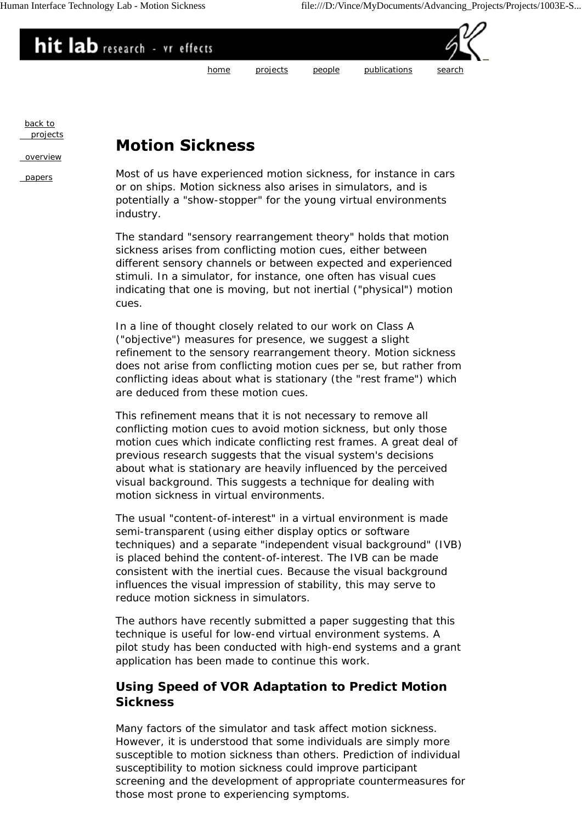

back to projects

overview

## **Motion Sickness**

papers Most of us have experienced motion sickness, for instance in cars or on ships. Motion sickness also arises in simulators, and is potentially a "show-stopper" for the young virtual environments industry.

> The standard "sensory rearrangement theory" holds that motion sickness arises from conflicting motion cues, either between different sensory channels or between expected and experienced stimuli. In a simulator, for instance, one often has visual cues indicating that one is moving, but not inertial ("physical") motion cues.

In a line of thought closely related to our work on Class A ("objective") measures for presence, we suggest a slight refinement to the sensory rearrangement theory. Motion sickness does not arise from conflicting motion cues per se, but rather from conflicting ideas about what is stationary (the "rest frame") which are deduced from these motion cues.

This refinement means that it is not necessary to remove all conflicting motion cues to avoid motion sickness, but only those motion cues which indicate conflicting rest frames. A great deal of previous research suggests that the visual system's decisions about what is stationary are heavily influenced by the perceived visual background. This suggests a technique for dealing with motion sickness in virtual environments.

The usual "content-of-interest" in a virtual environment is made semi-transparent (using either display optics or software techniques) and a separate "independent visual background" (IVB) is placed behind the content-of-interest. The IVB can be made consistent with the inertial cues. Because the visual background influences the visual impression of stability, this may serve to reduce motion sickness in simulators.

The authors have recently submitted a paper suggesting that this technique is useful for low-end virtual environment systems. A pilot study has been conducted with high-end systems and a grant application has been made to continue this work.

## **Using Speed of VOR Adaptation to Predict Motion Sickness**

Many factors of the simulator and task affect motion sickness. However, it is understood that some individuals are simply more susceptible to motion sickness than others. Prediction of individual susceptibility to motion sickness could improve participant screening and the development of appropriate countermeasures for those most prone to experiencing symptoms.